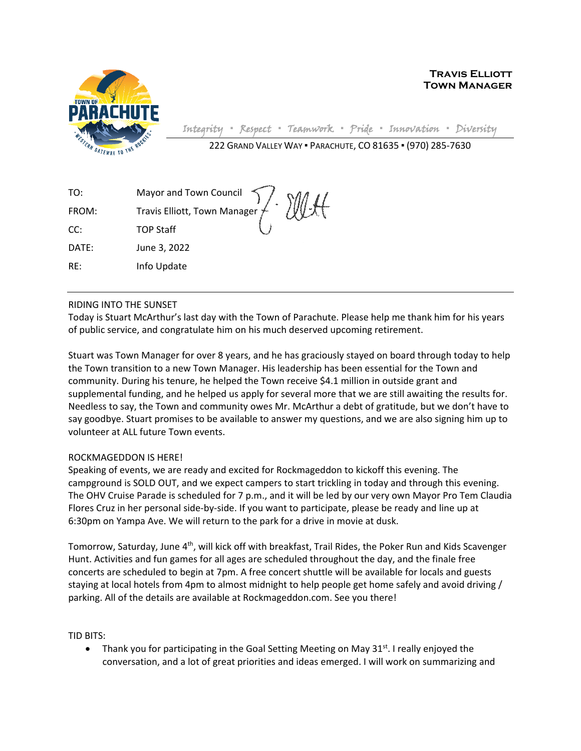

**Travis Elliott Town Manager**

Integrity **▪** Respect **▪** Teamwork **▪** Pride **▪** Innovation **▪** Diversity

222 GRAND VALLEY WAY ▪ PARACHUTE, CO 81635 ▪ (970) 285-7630

| TO:   |                                                             |
|-------|-------------------------------------------------------------|
| FROM: | Mayor and Town Council<br>Travis Elliott, Town Manager / MA |
| CC:   | <b>TOP Staff</b>                                            |
| DATE: | June 3, 2022                                                |
| RE:   | Info Update                                                 |

## RIDING INTO THE SUNSET

Today is Stuart McArthur's last day with the Town of Parachute. Please help me thank him for his years of public service, and congratulate him on his much deserved upcoming retirement.

Stuart was Town Manager for over 8 years, and he has graciously stayed on board through today to help the Town transition to a new Town Manager. His leadership has been essential for the Town and community. During his tenure, he helped the Town receive \$4.1 million in outside grant and supplemental funding, and he helped us apply for several more that we are still awaiting the results for. Needless to say, the Town and community owes Mr. McArthur a debt of gratitude, but we don't have to say goodbye. Stuart promises to be available to answer my questions, and we are also signing him up to volunteer at ALL future Town events.

## ROCKMAGEDDON IS HERE!

Speaking of events, we are ready and excited for Rockmageddon to kickoff this evening. The campground is SOLD OUT, and we expect campers to start trickling in today and through this evening. The OHV Cruise Parade is scheduled for 7 p.m., and it will be led by our very own Mayor Pro Tem Claudia Flores Cruz in her personal side-by-side. If you want to participate, please be ready and line up at 6:30pm on Yampa Ave. We will return to the park for a drive in movie at dusk.

Tomorrow, Saturday, June 4<sup>th</sup>, will kick off with breakfast, Trail Rides, the Poker Run and Kids Scavenger Hunt. Activities and fun games for all ages are scheduled throughout the day, and the finale free concerts are scheduled to begin at 7pm. A free concert shuttle will be available for locals and guests staying at local hotels from 4pm to almost midnight to help people get home safely and avoid driving / parking. All of the details are available at Rockmageddon.com. See you there!

TID BITS:

• Thank you for participating in the Goal Setting Meeting on May  $31^{st}$ . I really enjoyed the conversation, and a lot of great priorities and ideas emerged. I will work on summarizing and